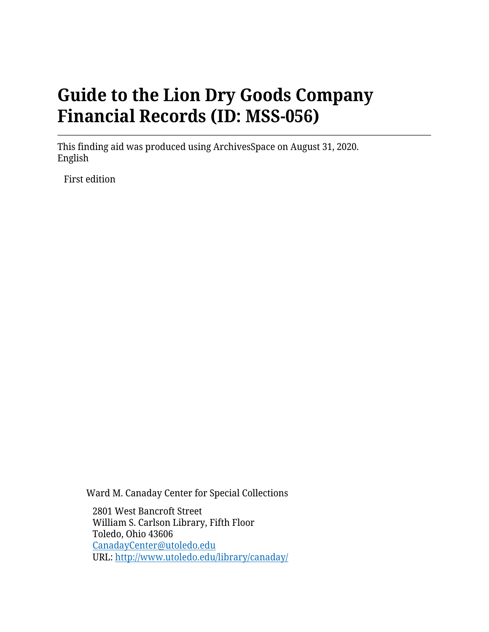# **Guide to the Lion Dry Goods Company Financial Records (ID: MSS-056)**

This finding aid was produced using ArchivesSpace on August 31, 2020. English

First edition

Ward M. Canaday Center for Special Collections

2801 West Bancroft Street William S. Carlson Library, Fifth Floor Toledo, Ohio 43606 [CanadayCenter@utoledo.edu](mailto:CanadayCenter@utoledo.edu) URL:<http://www.utoledo.edu/library/canaday/>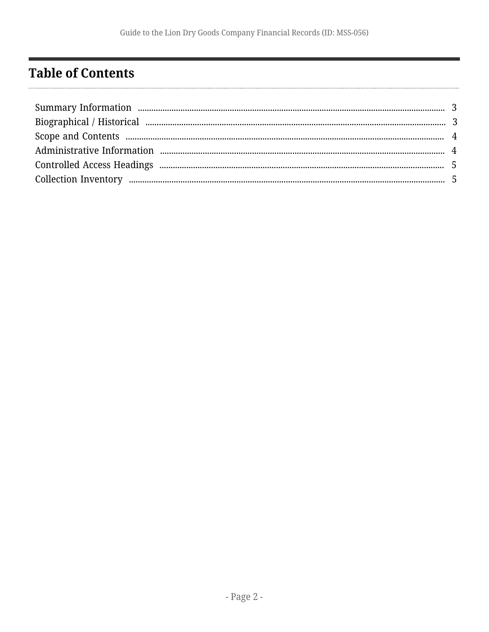## <span id="page-1-0"></span>**Table of Contents**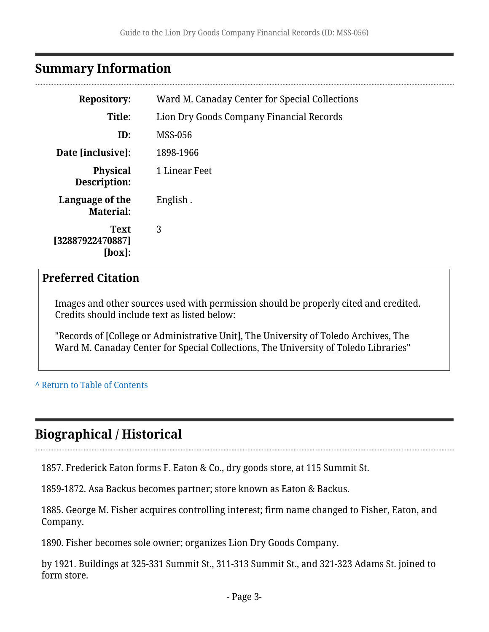## <span id="page-2-0"></span>**Summary Information**

| <b>Repository:</b>                        | Ward M. Canaday Center for Special Collections |  |  |
|-------------------------------------------|------------------------------------------------|--|--|
| Title:                                    | Lion Dry Goods Company Financial Records       |  |  |
| ID:                                       | <b>MSS-056</b>                                 |  |  |
| Date [inclusive]:                         | 1898-1966                                      |  |  |
| <b>Physical</b><br>Description:           | 1 Linear Feet                                  |  |  |
| Language of the<br><b>Material:</b>       | English.                                       |  |  |
| <b>Text</b><br>[32887922470887]<br>[box]: | 3                                              |  |  |

### **Preferred Citation**

Images and other sources used with permission should be properly cited and credited. Credits should include text as listed below:

"Records of [College or Administrative Unit], The University of Toledo Archives, The Ward M. Canaday Center for Special Collections, The University of Toledo Libraries"

#### **^** [Return to Table of Contents](#page-1-0)

## <span id="page-2-1"></span>**Biographical / Historical**

1857. Frederick Eaton forms F. Eaton & Co., dry goods store, at 115 Summit St.

1859-1872. Asa Backus becomes partner; store known as Eaton & Backus.

1885. George M. Fisher acquires controlling interest; firm name changed to Fisher, Eaton, and Company.

1890. Fisher becomes sole owner; organizes Lion Dry Goods Company.

by 1921. Buildings at 325-331 Summit St., 311-313 Summit St., and 321-323 Adams St. joined to form store.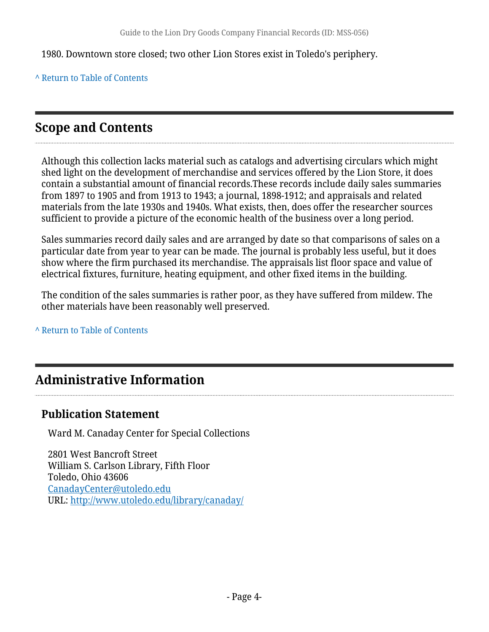1980. Downtown store closed; two other Lion Stores exist in Toledo's periphery.

**^** [Return to Table of Contents](#page-1-0)

## <span id="page-3-0"></span>**Scope and Contents**

Although this collection lacks material such as catalogs and advertising circulars which might shed light on the development of merchandise and services offered by the Lion Store, it does contain a substantial amount of financial records.These records include daily sales summaries from 1897 to 1905 and from 1913 to 1943; a journal, 1898-1912; and appraisals and related materials from the late 1930s and 1940s. What exists, then, does offer the researcher sources sufficient to provide a picture of the economic health of the business over a long period.

Sales summaries record daily sales and are arranged by date so that comparisons of sales on a particular date from year to year can be made. The journal is probably less useful, but it does show where the firm purchased its merchandise. The appraisals list floor space and value of electrical fixtures, furniture, heating equipment, and other fixed items in the building.

The condition of the sales summaries is rather poor, as they have suffered from mildew. The other materials have been reasonably well preserved.

**^** [Return to Table of Contents](#page-1-0)

## <span id="page-3-1"></span>**Administrative Information**

### **Publication Statement**

Ward M. Canaday Center for Special Collections

2801 West Bancroft Street William S. Carlson Library, Fifth Floor Toledo, Ohio 43606 [CanadayCenter@utoledo.edu](mailto:CanadayCenter@utoledo.edu) URL:<http://www.utoledo.edu/library/canaday/>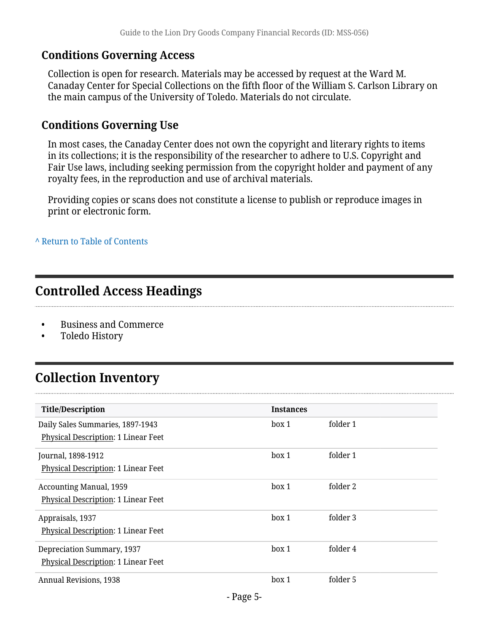### **Conditions Governing Access**

Collection is open for research. Materials may be accessed by request at the Ward M. Canaday Center for Special Collections on the fifth floor of the William S. Carlson Library on the main campus of the University of Toledo. Materials do not circulate.

### **Conditions Governing Use**

In most cases, the Canaday Center does not own the copyright and literary rights to items in its collections; it is the responsibility of the researcher to adhere to U.S. Copyright and Fair Use laws, including seeking permission from the copyright holder and payment of any royalty fees, in the reproduction and use of archival materials.

Providing copies or scans does not constitute a license to publish or reproduce images in print or electronic form.

**^** [Return to Table of Contents](#page-1-0)

### <span id="page-4-0"></span>**Controlled Access Headings**

- Business and Commerce
- Toledo History

## <span id="page-4-1"></span>**Collection Inventory**

| <b>Title/Description</b>            | <b>Instances</b> |          |
|-------------------------------------|------------------|----------|
| Daily Sales Summaries, 1897-1943    | box 1            | folder 1 |
| Physical Description: 1 Linear Feet |                  |          |
| Journal, 1898-1912                  | box 1            | folder 1 |
| Physical Description: 1 Linear Feet |                  |          |
| <b>Accounting Manual, 1959</b>      | box 1            | folder 2 |
| Physical Description: 1 Linear Feet |                  |          |
| Appraisals, 1937                    | box 1            | folder 3 |
| Physical Description: 1 Linear Feet |                  |          |
| Depreciation Summary, 1937          | box 1            | folder 4 |
| Physical Description: 1 Linear Feet |                  |          |
| Annual Revisions, 1938              | box 1            | folder 5 |